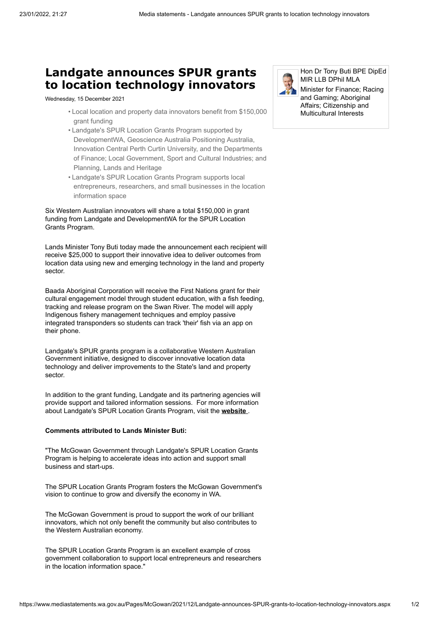## **Landgate announces SPUR grants to location technology innovators**

Wednesday, 15 December 2021

- Local location and property data innovators benefit from \$150,000 grant funding
- Landgate's SPUR Location Grants Program supported by DevelopmentWA, Geoscience Australia Positioning Australia, Innovation Central Perth Curtin University, and the Departments of Finance; Local Government, Sport and Cultural Industries; and Planning, Lands and Heritage
- Landgate's SPUR Location Grants Program supports local entrepreneurs, researchers, and small businesses in the location information space

Six Western Australian innovators will share a total \$150,000 in grant funding from Landgate and DevelopmentWA for the SPUR Location Grants Program.

Lands Minister Tony Buti today made the announcement each recipient will receive \$25,000 to support their innovative idea to deliver outcomes from location data using new and emerging technology in the land and property sector.

Baada Aboriginal Corporation will receive the First Nations grant for their cultural engagement model through student education, with a fish feeding, tracking and release program on the Swan River. The model will apply Indigenous fishery management techniques and employ passive integrated transponders so students can track 'their' fish via an app on their phone.

Landgate's SPUR grants program is a collaborative Western Australian Government initiative, designed to discover innovative location data technology and deliver improvements to the State's land and property sector.

In addition to the grant funding, Landgate and its partnering agencies will provide support and tailored information sessions. For more information about Landgate's SPUR Location Grants Program, visit the **[website](https://www0.landgate.wa.gov.au/business-and-government/spur)** .

## **Comments attributed to Lands Minister Buti:**

"The McGowan Government through Landgate's SPUR Location Grants Program is helping to accelerate ideas into action and support small business and start-ups.

The SPUR Location Grants Program fosters the McGowan Government's vision to continue to grow and diversify the economy in WA.

The McGowan Government is proud to support the work of our brilliant innovators, which not only benefit the community but also contributes to the Western Australian economy.

The SPUR Location Grants Program is an excellent example of cross government collaboration to support local entrepreneurs and researchers in the location information space."



Hon Dr Tony Buti BPE DipEd MIR LLB DPhil MLA

Minister for Finance; Racing and Gaming; Aboriginal Affairs; Citizenship and Multicultural Interests